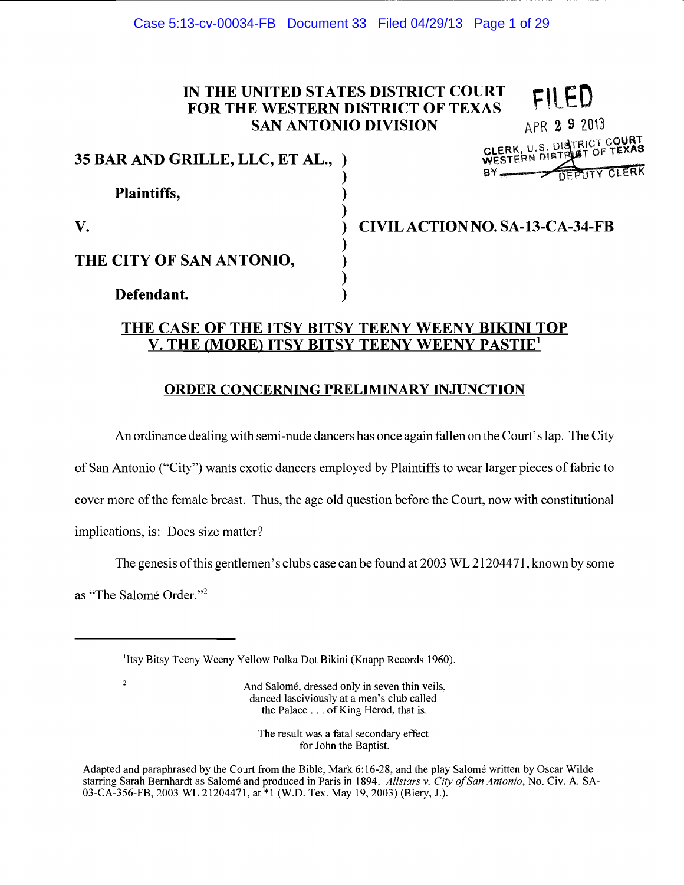# IN THE UNITED STATES DISTRICT COURT FOR THE WESTERN DISTRICT OF TEXAS SAN ANTONIO DIVISION

| 35 BAR AND GRILLE, LLC, ET AL., ) |  |
|-----------------------------------|--|
|                                   |  |
| <b>Plaintiffs,</b>                |  |
|                                   |  |
|                                   |  |

THE CITY OF SAN ANTONIO,

Defendant.

APR 2 9 2013 RICT COURT CLERK, U.S. HALLY OF TEXAS WESTERN  $BY$  DEDITY CLERK

CIVIL ACTION NO. SA-13-CA-34-FB

# THE CASE OF THE ITSY BITSY TEENY WEENY BIKINI TOP V. THE (MORE) ITSY BITSY TEENY WEENY PASTIE1

# ORDER CONCERNING PRELIMINARY INJUNCTION

An ordinance dealing with semi-nude dancers has once again fallen on the Court's lap. The City

of San Antonio ("City") wants exotic dancers employed by Plaintiffs to wear larger pieces of fabric to

cover more of the female breast. Thus, the age old question before the Court, now with constitutional

implications, is: Does size matter?

The genesis of this gentlemen's clubs case can be found at 2003 WL 21204471, known by some

as "The Salomé Order."2

 $\overline{\mathbf{2}}$ 

And Salomé, dressed only in seven thin veils, danced lasciviously at a men's club called the Palace. . . of King Herod, that is.

The result was a fatal secondary effect for John the Baptist.

Adapted and paraphrased by the Court from the Bible, Mark 6:16-28, and the play Salomé written by Oscar Wilde starring Sarah Bernhardt as Salomé and produced in Paris in 1894. Allstars v. City of San Antonio, No. Civ. A. SA-03-CA-356-FB, 2003 WL 21204471, at \*1 (W.D. Tex. May 19, 2003) (Biery, J.).

<sup>&</sup>lt;sup>1</sup> Itsy Bitsy Teeny Weeny Yellow Polka Dot Bikini (Knapp Records 1960).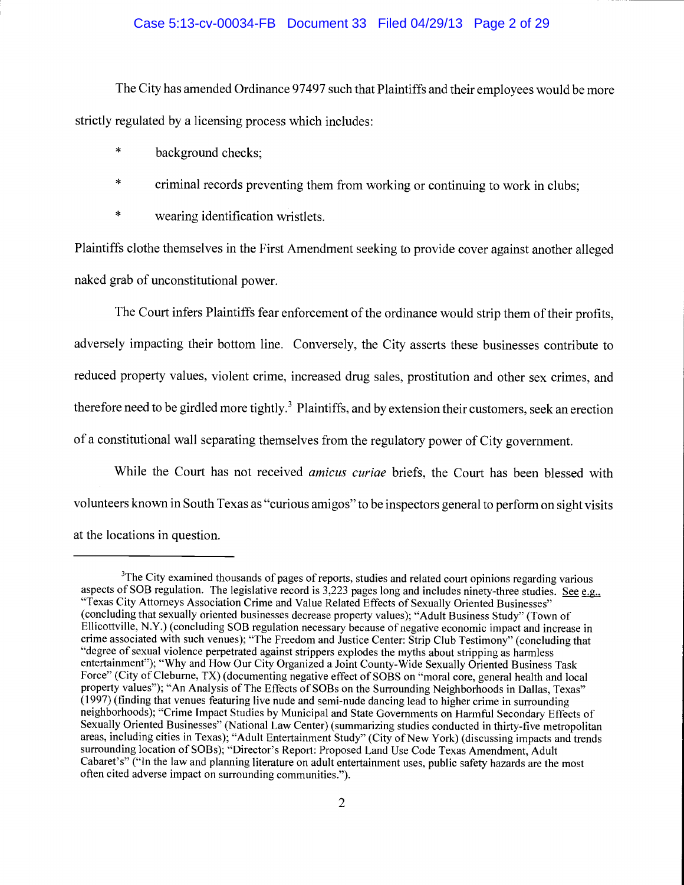## Case 5:13-cv-00034-FB Document 33 Filed 04/29/13 Page 2 of 29

The City has amended Ordinance 97497 such that Plaintiffs and their employees would be more strictly regulated by a licensing process which includes:

- $\ast$ background checks;
- $\ast$ criminal records preventing them from working or continuing to work in clubs;
- $\ast$ wearing identification wristlets.

Plaintiffs clothe themselves in the First Amendment seeking to provide cover against another alleged naked grab of unconstitutional power.

The Court infers Plaintiffs fear enforcement of the ordinance would strip them of their profits, adversely impacting their bottom line. Conversely, the City asserts these businesses contribute to reduced property values, violent crime, increased drug sales, prostitution and other sex crimes, and therefore need to be girdled more tightly.<sup>3</sup> Plaintiffs, and by extension their customers, seek an erection of a constitutional wall separating themselves from the regulatory power of City government.

While the Court has not received amicus curiae briefs, the Court has been blessed with volunteers known in South Texas as "curious amigos" to be inspectors general to perform on sight visits at the locations in question.

<sup>&</sup>lt;sup>3</sup>The City examined thousands of pages of reports, studies and related court opinions regarding various aspects of SOB regulation. The legislative record is  $3,223$  pages long and includes ninety-three studies. See e.g., "Texas City Attorneys Association Crime and Value Related Effects of Sexually Oriented Businesses" (concluding that sexually oriented businesses decrease property values); "Adult Business Study" (Town of Ellicottville, N.Y.) (concluding SOB regulation necessary because of negative economic impact and increase in crime associated with such venues); "The Freedom and Justice Center: Strip Club Testimony" (concluding that "degree of sexual violence perpetrated against strippers explodes the myths about stripping as harmless entertainment"); "Why and How Our City Organized a Joint County-Wide Sexually Oriented Business Task Force" (City of Clebume, TX) (documenting negative effect of SOBS on "moral core, general health and local property values"); "An Analysis of The Effects of SOBs on the Surrounding Neighborhoods in Dallas, Texas" (1997) (finding that venues featuring live nude and semi-nude dancing lead to higher crime in surrounding neighborhoods); "Crime Impact Studies by Municipal and State Governments on Harmful Secondary Effects of Sexually Oriented Businesses" (National Law Center) (summarizing studies conducted in thirty-five metropolitan areas, including cities in Texas); "Adult Entertainment Study" (City of New York) (discussing impacts and trends surrounding location of SOBs); "Director's Report: Proposed Land Use Code Texas Amendment, Adult Cabaret's" ("In the law and planning literature on adult entertainment uses, public safety hazards are the most often cited adverse impact on surrounding communities.").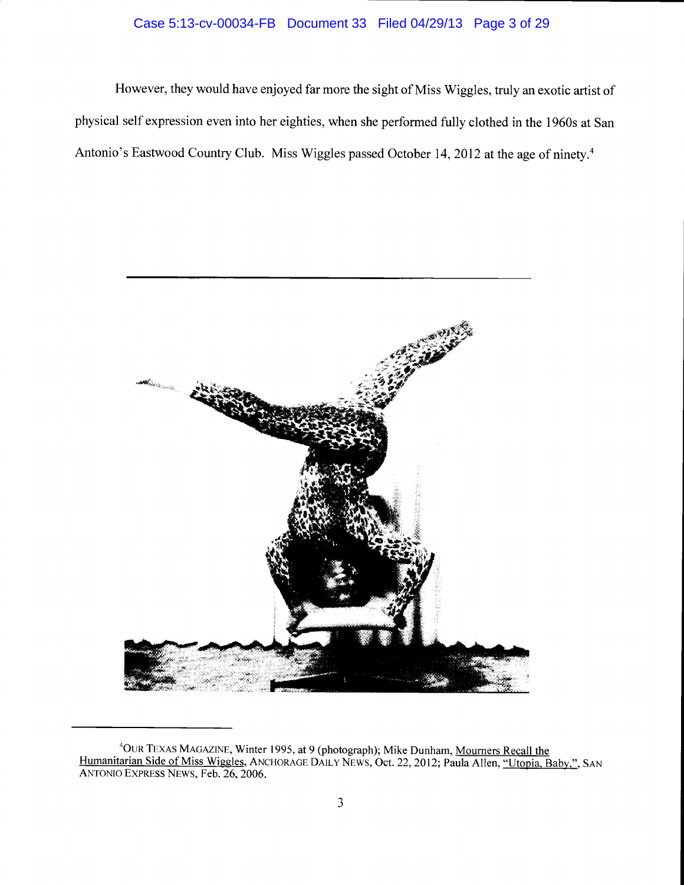# Case 5:13-cv-00034-FB Document 33 Filed 04/29/13 Page 3 of 29

However, they would have enjoyed far more the sight of Miss Wiggles, truly an exotic artist of physical self expression even into her eighties, when she performed fully clothed in the 1 960s at San Antonio's Eastwood Country Club. Miss Wiggles passed October 14, 2012 at the age of ninety.4



<sup>&</sup>lt;sup>4</sup>OUR TEXAS MAGAZINE, Winter 1995, at 9 (photograph); Mike Dunham, <u>Mourners Recall the</u> Humanitarian Side of Miss Wiggles, ANCHORAGE DAILY NEWS, Oct. 22, 2012; Paula Allen, "Utopia, Baby.", SAN ANTONIO EXPRESS NEWS, Feb. 26, 2006.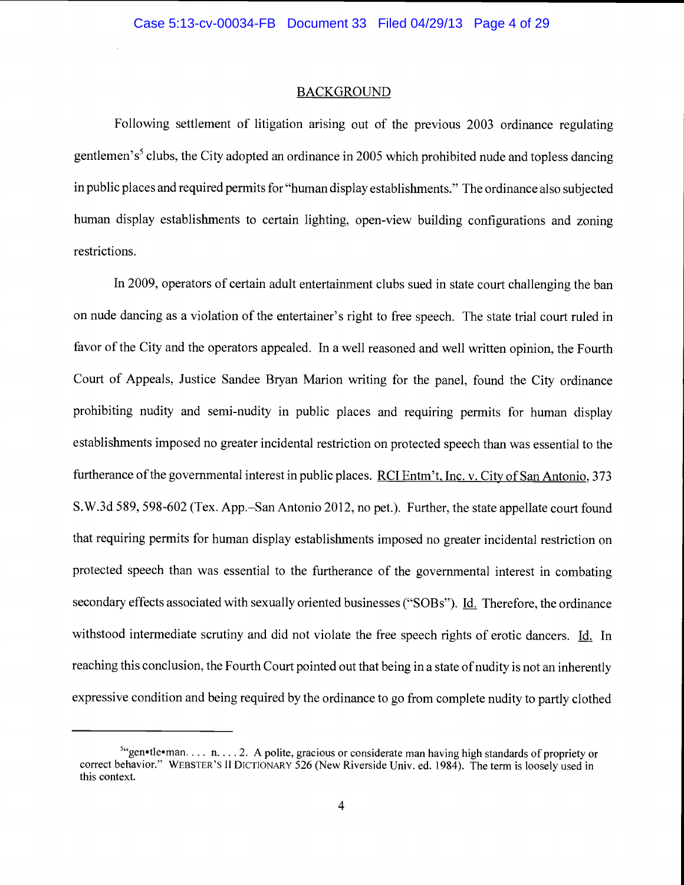#### **BACKGROUND**

Following settlement of litigation arising out of the previous 2003 ordinance regulating gentlemen's<sup>5</sup> clubs, the City adopted an ordinance in 2005 which prohibited nude and topless dancing in public places and required permits for "human display establishments." The ordinance also subjected human display establishments to certain lighting, open-view building configurations and zoning restrictions.

In 2009, operators of certain adult entertainment clubs sued in state court challenging the ban on nude dancing as a violation of the entertainer's right to free speech. The state trial court ruled in favor of the City and the operators appealed. In a well reasoned and well written opinion, the Fourth Court of Appeals, Justice Sandee Bryan Marion writing for the panel, found the City ordinance prohibiting nudity and semi-nudity in public places and requiring permits for human display establishments imposed no greater incidental restriction on protected speech than was essential to the furtherance of the governmental interest in public places. RCI Entm't, Inc. v. City of San Antonio, 373 S.W.3d 589, 598-602 (Tex. App.–San Antonio 2012, no pet.). Further, the state appellate court found that requiring permits for human display establishments imposed no greater incidental restriction on protected speech than was essential to the furtherance of the governmental interest in combating secondary effects associated with sexually oriented businesses ("SOBs"). Id. Therefore, the ordinance withstood intermediate scrutiny and did not violate the free speech rights of erotic dancers. Id. In reaching this conclusion, the Fourth Court pointed out that being in a state of nudity is not an inherently expressive condition and being required by the ordinance to go from complete nudity to partly clothed

 $5$ "gen•tle•man.... n. ... 2. A polite, gracious or considerate man having high standards of propriety or correct behavior." WEBSTER'S H DICTIONARY 526 (New Riverside Univ. ed. 1984). The term is loosely used in this context.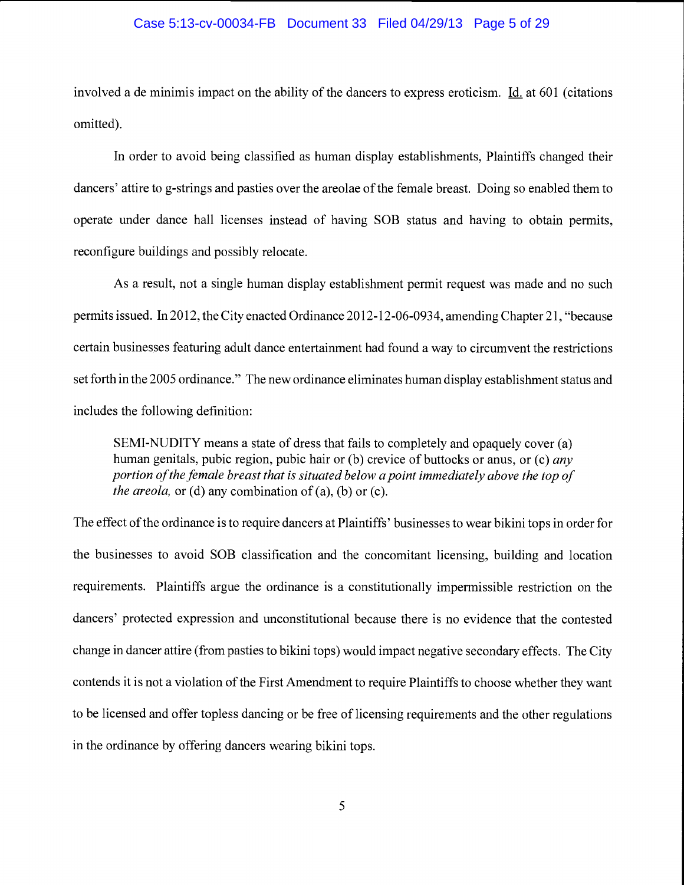#### Case 5:13-cv-00034-FB Document 33 Filed 04/29/13 Page 5 of 29

involved a de minimis impact on the ability of the dancers to express eroticism.  $\underline{Id}$  at 601 (citations omitted).

In order to avoid being classified as human display establishments, Plaintiffs changed their dancers' attire to g-strings and pasties over the areolae of the female breast. Doing so enabled them to operate under dance hall licenses instead of having SOB status and having to obtain permits, reconfigure buildings and possibly relocate.

As a result, not a single human display establishment permit request was made and no such permits issued. In 2012, the City enacted Ordinance 2012-12-06-0934, amending Chapter 21, "because certain businesses featuring adult dance entertainment had found a way to circumvent the restrictions set forth in the 2005 ordinance." The new ordinance eliminates human display establishment status and includes the following definition:

SEMI-NUDITY means a state of dress that fails to completely and opaquely cover (a) human genitals, pubic region, pubic hair or (b) crevice of buttocks or anus, or (c) *any* portion of the female breast that is situated below a point immediately above the top of *the areola,* or (d) any combination of (a), (b) or (c).

The effect of the ordinance is to require dancers at Plaintiffs' businesses to wear bikini tops in order for the businesses to avoid SOB classification and the concomitant licensing, building and location requirements. Plaintiffs argue the ordinance is a constitutionally impermissible restriction on the dancers' protected expression and unconstitutional because there is no evidence that the contested change in dancer attire (from pasties to bikini tops) would impact negative secondary effects. The City contends it is not a violation of the First Amendment to require Plaintiffs to choose whether they want to be licensed and offer topless dancing or be free of licensing requirements and the other regulations in the ordinance by offering dancers wearing bikini tops.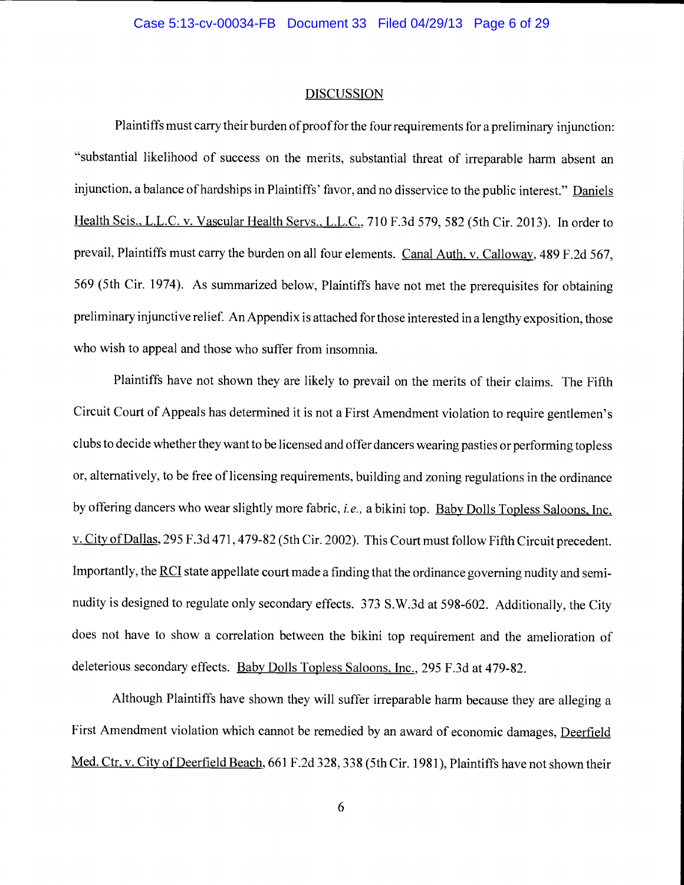#### DISCUSSION

Plaintiffs must carry their burden of proof for the four requirements for a preliminary injunction: "substantial likelihood of success on the merits, substantial threat of irreparable harm absent an injunction, a balance of hardships in Plaintiffs' favor, and no disservice to the public interest." Daniels Health Scis., L.L.C. v. Vascular Health Servs., L.L.C., 710 F.3d 579, 582 (5th Cir. 2013). In order to prevail, Plaintiffs must carry the burden on all four elements. Canal Auth. v. Calloway, 489 F.2d 567, 569 (5th Cir. 1974). As summarized below, Plaintiffs have not met the prerequisites for obtaining preliminary injunctive relief. An Appendix is attached for those interested in a lengthy exposition, those who wish to appeal and those who suffer from insomnia.

Plaintiffs have not shown they are likely to prevail on the merits of their claims. The Fifth Circuit Court of Appeals has determined it is not a First Amendment violation to require gentlemen's clubs to decide whether they want to be licensed and offer dancers wearing pasties or performing topless or, alternatively, to be free of licensing requirements, building and zoning regulations in the ordinance by offering dancers who wear slightly more fabric, *i.e.*, a bikini top. Baby Dolls Topless Saloons, Inc. v. City of Dallas, 295 F.3d 471,479-82 (5th Cir. 2002). This Court must follow Fifth Circuit precedent. Importantly, the RCI state appellate court made a finding that the ordinance governing nudity and seminudity is designed to regulate only secondary effects. 373 S.W.3d at 598-602. Additionally, the City does not have to show a correlation between the bikini top requirement and the amelioration of deleterious secondary effects. Baby Dolls Topless Saloons, Inc., 295 F.3d at 479-82.

Although Plaintiffs have shown they will suffer irreparable harm because they are alleging a First Amendment violation which cannot be remedied by an award of economic damages, Deerfield Med. Ctr. v. City of Deerfield Beach, 661 F.2d 328, 338 (5th Cir. 1981), Plaintiffs have not shown their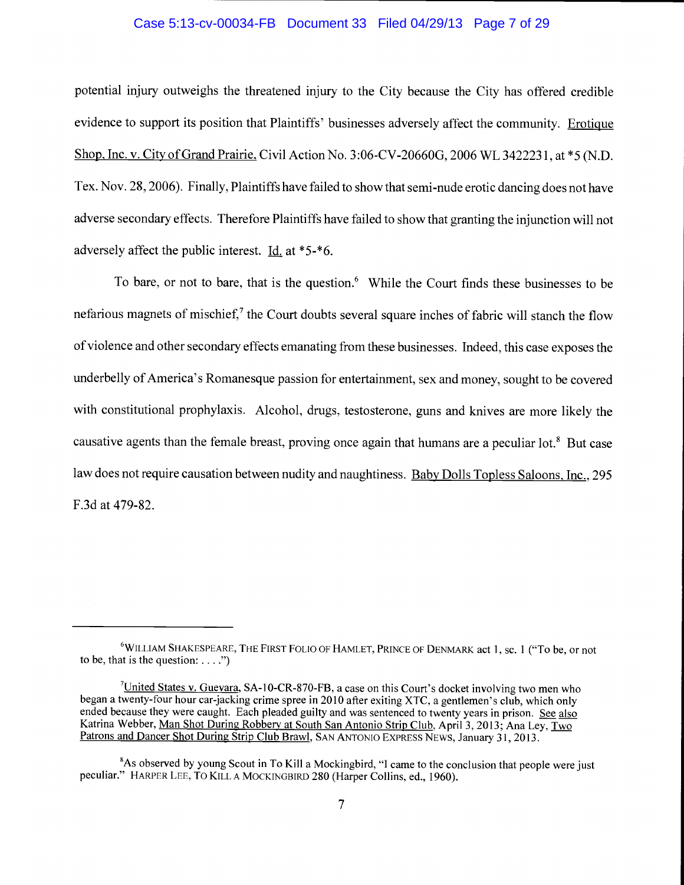## Case 5:13-cv-00034-FB Document 33 Filed 04/29/13 Page 7 of 29

potential injury outweighs the threatened injury to the City because the City has offered credible evidence to support its position that Plaintiffs' businesses adversely affect the community. Erotique Shop. Inc. v. City of Grand Prairie. Civil Action No. 3:06-CV-20660G, 2006 WL 3422231, at \*5 (N.D. Tex. Nov. 28, 2006). Finally, Plaintiffs have failed to show that semi-nude erotic dancing does not have adverse secondary effects. Therefore Plaintiffs have failed to show that granting the injunction will not adversely affect the public interest. Id. at  $*5.*6$ .

To bare, or not to bare, that is the question.<sup>6</sup> While the Court finds these businesses to be nefarious magnets of mischief,<sup>7</sup> the Court doubts several square inches of fabric will stanch the flow of violence and other secondary effects emanating from these businesses. Indeed, this case exposes the underbelly of America's Romanesque passion for entertainment, sex and money, sought to be covered with constitutional prophylaxis. Alcohol, drugs, testosterone, guns and knives are more likely the causative agents than the female breast, proving once again that humans are a peculiar lot.<sup>8</sup> But case law does not require causation between nudity and naughtiness. Baby Dolls Topless Saloons. Inc., 295 F.3d at 479-82.

<sup>&</sup>lt;sup>6</sup>WILLIAM SHAKESPEARE, THE FIRST FOLIO OF HAMLET, PRINCE OF DENMARK act 1, sc. 1 ("To be, or not to be, that is the question:  $\dots$ .")

 $7$ United States v. Guevara, SA-10-CR-870-FB, a case on this Court's docket involving two men who began a twenty-four hour car-jacking crime spree in 2010 after exiting XTC, a gentlemen's club, which only ended because they were caught. Each pleaded guilty and was sentenced to twenty years in prison. See also<br>Katrina Webber, Man Shot During Robbery at South San Antonio Strip Club, April 3, 2013; Ana Ley, Two Patrons and Dancer Shot During Strip Club Brawl, SAN ANTONIO EXPRESS NEwS, January 31, 2013.

<sup>&</sup>lt;sup>8</sup>As observed by young Scout in To Kill a Mockingbird, "I came to the conclusion that people were just peculiar." HARPER LEE, TO KILL A MOCKINGBIRD 280 (Harper Collins, ed., 1960).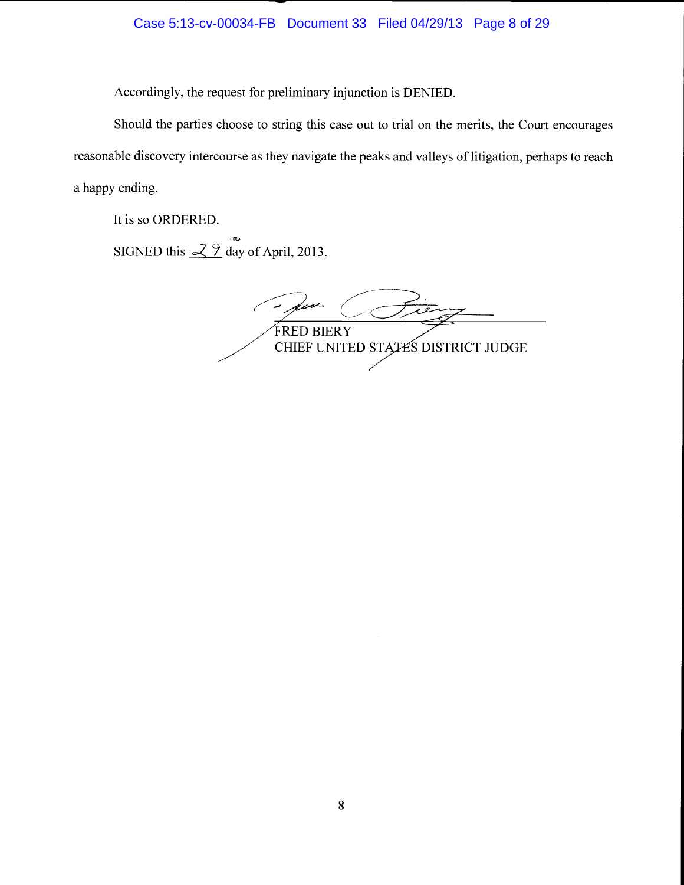Accordingly, the request for preliminary injunction is DENIED.

Should the parties choose to string this case out to trial on the merits, the Court encourages reasonable discovery intercourse as they navigate the peaks and valleys of litigation, perhaps to reach a happy ending.

It is so ORDERED.

SIGNED this  $\frac{29}{3}$  day of April, 2013.

(Fiery FRED BIERY CHIEF UNITED STATES DISTRICT JUDGE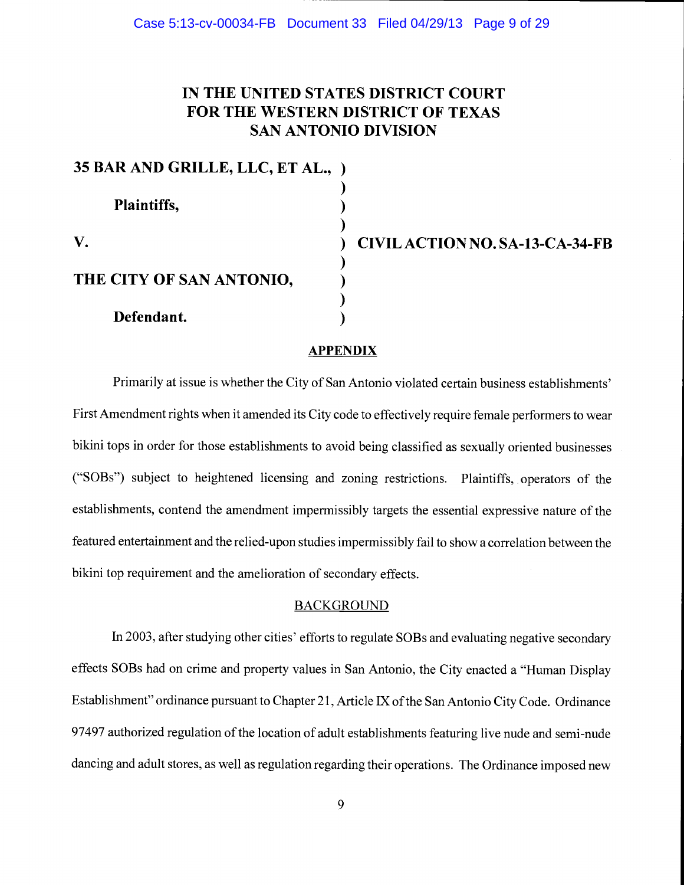# IN THE UNITED STATES DISTRICT COURT FOR THE WESTERN DISTRICT OF TEXAS SAN ANTONIO DIVISION

| 35 BAR AND GRILLE, LLC, ET AL., ) |  |
|-----------------------------------|--|
|                                   |  |
| Plaintiffs,                       |  |
|                                   |  |
| V.                                |  |
|                                   |  |
| THE CITY OF SAN ANTONIO,          |  |
|                                   |  |
| Defendant.                        |  |

CIVIL ACTION NO. SA-13-CA-34-FB

## **APPENDIX**

Primarily at issue is whether the City of San Antonio violated certain business establishments' First Amendment rights when it amended its City code to effectively require female performers to wear bikini tops in order for those establishments to avoid being classified as sexually oriented businesses ("SOBs") subject to heightened licensing and zoning restrictions. Plaintiffs, operators of the establishments, contend the amendment impermissibly targets the essential expressive nature of the featured entertainment and the relied-upon studies impermissibly fail to show a correlation between the bikini top requirement and the amelioration of secondary effects.

## BACKGROUND

In 2003, after studying other cities' efforts to regulate SOBs and evaluating negative secondary effects SOBs had on crime and property values in San Antonio, the City enacted a "Human Display Establishment" ordinance pursuant to Chapter 21, Article IX of the San Antonio City Code. Ordinance 97497 authorized regulation of the location of adult establishments featuring live nude and semi-nude dancing and adult stores, as well as regulation regarding their operations. The Ordinance imposed new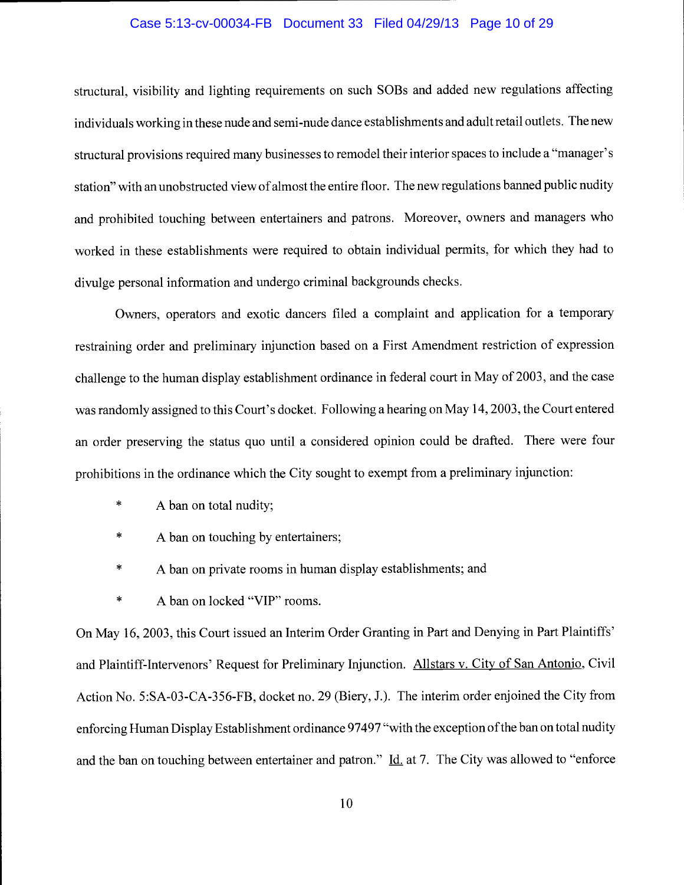#### Case 5:13-cv-00034-FB Document 33 Filed 04/29/13 Page 10 of 29

structural, visibility and lighting requirements on such SOBs and added new regulations affecting individuals working in these nude and semi-nude dance establishments and adult retail outlets. The new structural provisions required many businesses to remodel their interior spaces to include a "manager's station" with an unobstructed view of almost the entire floor. The new regulations banned public nudity and prohibited touching between entertainers and patrons. Moreover, owners and managers who worked in these establishments were required to obtain individual permits, for which they had to divulge personal information and undergo criminal backgrounds checks.

Owners, operators and exotic dancers filed a complaint and application for a temporary restraining order and preliminary injunction based on a First Amendment restriction of expression challenge to the human display establishment ordinance in federal court in May of 2003, and the case was randomly assigned to this Court's docket. Following a hearing on May 14, 2003, the Court entered an order preserving the status quo until a considered opinion could be drafted. There were four prohibitions in the ordinance which the City sought to exempt from a preliminary injunction:

- \* A ban on total nudity;
- \* A ban on touching by entertainers;
- \* A ban on private rooms in human display establishments; and
- \* A ban on locked "VIP" rooms.

On May 16, 2003, this Court issued an Interim Order Granting in Part and Denying in Part Plaintiffs' and Plaintiff-Intervenors' Request for Preliminary Injunction. Alistars v. City of San Antonio, Civil Action No. 5:SA-03-CA-356-FB, docket no. 29 (Biery, J.). The interim order enjoined the City from enforcing Human Display Establishment ordinance 97497 "with the exception of the ban on total nudity and the ban on touching between entertainer and patron." Id. at 7. The City was allowed to "enforce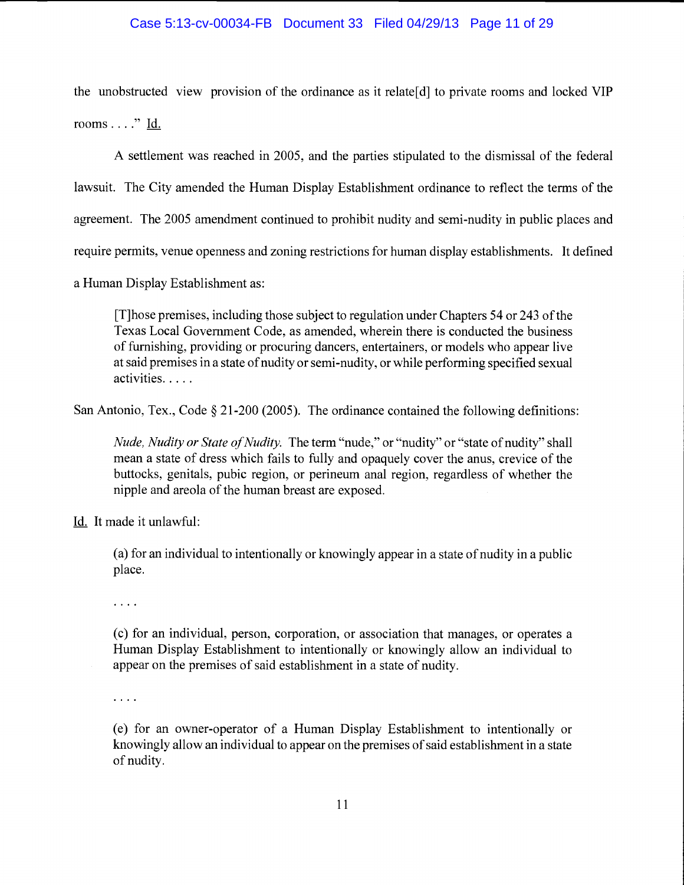# Case 5:13-cv-00034-FB Document 33 Filed 04/29/13 Page 11 of 29

the unobstructed view provision of the ordinance as it relate[d] to private rooms and locked VIP rooms  $\dots$ ." Id.

A settlement was reached in 2005, and the parties stipulated to the dismissal of the federal lawsuit. The City amended the Human Display Establishment ordinance to reflect the terms of the agreement. The 2005 amendment continued to prohibit nudity and semi-nudity in public places and require permits, venue openness and zoning restrictions for human display establishments. It defined

a Human Display Establishment as:

[T]hose premises, including those subject to regulation under Chapters 54 or 243 of the Texas Local Government Code, as amended, wherein there is conducted the business of furnishing, providing or procuring dancers, entertainers, or models who appear live at said premises in a state of nudity or semi-nudity, or while performing specified sexual activities.....

San Antonio, Tex., Code  $\S 21-200$  (2005). The ordinance contained the following definitions:

Nude, Nudity or State of Nudity. The term "nude," or "nudity" or "state of nudity" shall mean a state of dress which fails to fully and opaquely cover the anus, crevice of the buttocks, genitals, pubic region, or perineum anal region, regardless of whether the nipple and areola of the human breast are exposed.

Id. It made it unlawful:

(a) for an individual to intentionally or knowingly appear in a state of nudity in a public place.

 $\ldots$  .

(c) for an individual, person, corporation, or association that manages, or operates a Human Display Establishment to intentionally or knowingly allow an individual to appear on the premises of said establishment in a state of nudity.

 $\cdots$ 

(e) for an owner-operator of a Human Display Establishment to intentionally or knowingly allow an individual to appear on the premises of said establishment in a state of nudity.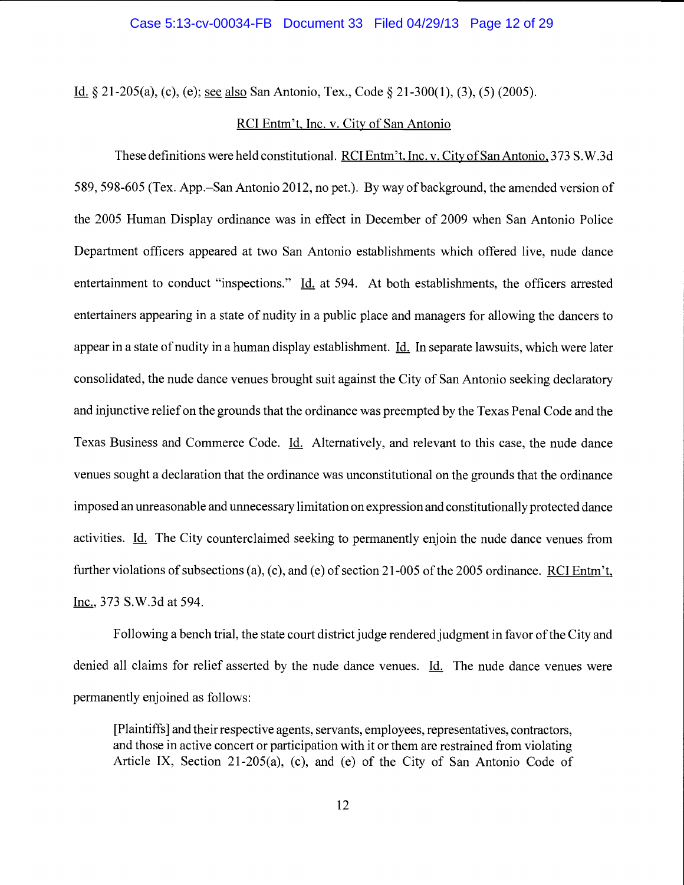Id. § 2 1-205(a), (c), (e); see also San Antonio, Tex., Code § 2 1-300(1), (3), (5) (2005).

# RCI Entm't, Inc. v. City of San Antonio

These definitions were held constitutional. RCI Entm't, Inc. v. City of San Antonio, 373 S.W.3d 589, 598-605 (Tex. App.–San Antonio 2012, no pet.). By way of background, the amended version of the 2005 Human Display ordinance was in effect in December of 2009 when San Antonio Police Department officers appeared at two San Antonio establishments which offered live, nude dance entertainment to conduct "inspections." Id. at 594. At both establishments, the officers arrested entertainers appearing in a state of nudity in a public place and managers for allowing the dancers to appear in a state of nudity in a human display establishment. Id. In separate lawsuits, which were later consolidated, the nude dance venues brought suit against the City of San Antonio seeking declaratory and injunctive relief on the grounds that the ordinance was preempted by the Texas Penal Code and the Texas Business and Commerce Code. Id. Alternatively, and relevant to this case, the nude dance venues sought a declaration that the ordinance was unconstitutional on the grounds that the ordinance imposed an unreasonable and unnecessary limitation on expression and constitutionally protected dance activities. Id. The City counterclaimed seeking to permanently enjoin the nude dance venues from further violations of subsections (a), (c), and (e) of section 21-005 of the 2005 ordinance. RCI Entm't, Inc., 373 S.W.3d at 594.

Following a bench trial, the state court district judge rendered judgment in favor of the City and denied all claims for relief asserted by the nude dance venues. Id. The nude dance venues were permanently enjoined as follows:

[Plaintiffsj and their respective agents, servants, employees, representatives, contractors, and those in active concert or participation with it or them are restrained from violating Article IX, Section 21-205(a), (c), and (e) of the City of San Antonio Code of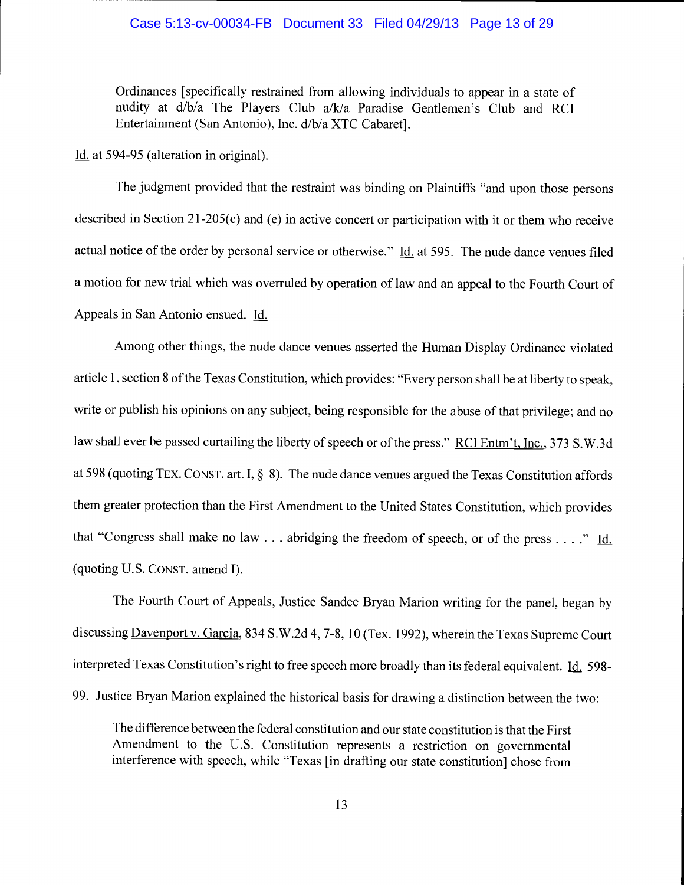## Case 5:13-cv-00034-FB Document 33 Filed 04/29/13 Page 13 of 29

Ordinances [specifically restrained from allowing individuals to appear in a state of nudity at d/b/a The Players Club a/k/a Paradise Gentlemen's Club and RCI Entertainment (San Antonio), Inc. d/b/a XTC Cabaret].

Id. at 594-95 (alteration in original).

The judgment provided that the restraint was binding on Plaintiffs "and upon those persons described in Section 21-205(c) and (e) in active concert or participation with it or them who receive actual notice of the order by personal service or otherwise."  $\underline{Id}$  at 595. The nude dance venues filed a motion for new trial which was overruled by operation of law and an appeal to the Fourth Court of Appeals in San Antonio ensued. Id.

Among other things, the nude dance venues asserted the Human Display Ordinance violated article 1, section 8 of the Texas Constitution, which provides: "Every person shall be at liberty to speak, write or publish his opinions on any subject, being responsible for the abuse of that privilege; and no law shall ever be passed curtailing the liberty of speech or of the press." RCI Entm't, Inc., 373 S.W.3d at 598 (quoting TEX. CONST. art. I,  $\S$  8). The nude dance venues argued the Texas Constitution affords them greater protection than the First Amendment to the United States Constitution, which provides that "Congress shall make no law  $\dots$  abridging the freedom of speech, or of the press  $\dots$ ." Id. (quoting U.S. CONST. amend I).

The Fourth Court of Appeals, Justice Sandee Bryan Marion writing for the panel, began by discussing Davenport v. Garcia, 834 S.W.2d 4, 7-8, 10 (Tex. 1992), wherein the Texas Supreme Court interpreted Texas Constitution's right to free speech more broadly than its federal equivalent. Id. 598-99. Justice Bryan Marion explained the historical basis for drawing a distinction between the two:

The difference between the federal constitution and our state constitution is that the First Amendment to the U.S. Constitution represents a restriction on governmental interference with speech, while "Texas [in drafting our state constitution] chose from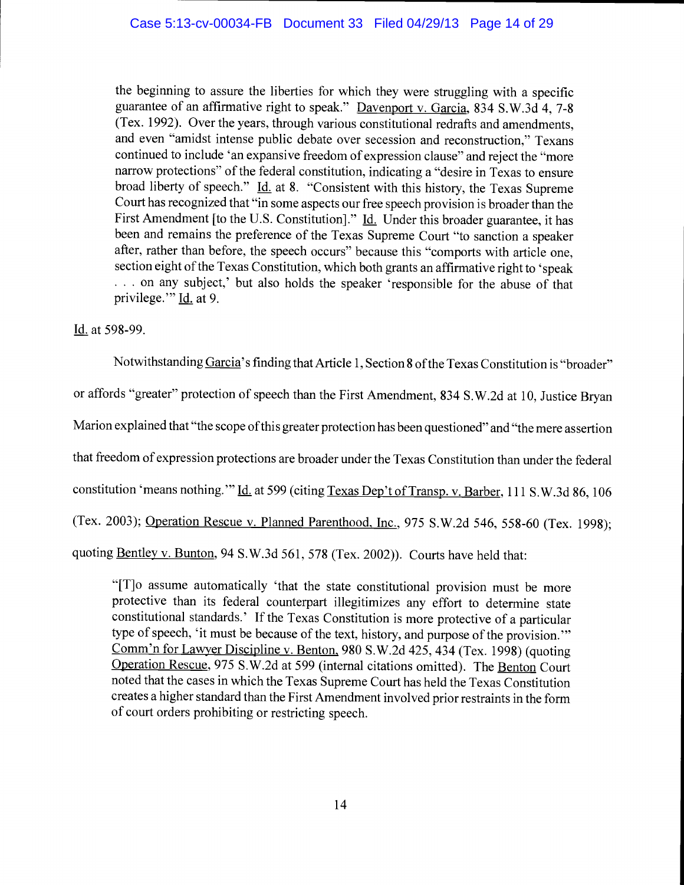the beginning to assure the liberties for which they were struggling with a specific guarantee of an affirmative right to speak." Davenport v. Garcia, 834 S.W.3d 4, 7-8 (Tex. 1992). Over the years, through various constitutional redrafts and amendments, and even "amidst intense public debate over secession and reconstruction," Texans continued to include 'an expansive freedom of expression clause" and reject the "more narrow protections" of the federal constitution, indicating a "desire in Texas to ensure broad liberty of speech." *Id.* at 8. "Consistent with this history, the Texas Supreme Court has recognized that "in some aspects our free speech provision is broader than the First Amendment [to the U.S. Constitution]." Id. Under this broader guarantee, it has been and remains the preference of the Texas Supreme Court "to sanction a speaker after, rather than before, the speech occurs" because this "comports with article one, section eight of the Texas Constitution, which both grants an affirmative right to 'speak ... on any subject,' but also holds the speaker 'responsible for the abuse of that privilege." Id. at 9.

Id. at 598-99.

Notwithstanding Garcia's finding that Article 1, Section 8 of the Texas Constitution is "broader" or affords "greater" protection of speech than the First Amendment, 834 S.W.2d at 10, Justice Bryan Marion explained that "the scope of this greater protection has been questioned" and "the mere assertion that freedom of expression protections are broader under the Texas Constitution than under the federal constitution 'means nothing." Id. at 599 (citing Texas Dep't of Transp. v. Barber, 111 S.W.3d 86, 106 (Tex. 2003); Operation Rescue v. Planned Parenthood. Inc., 975 S.W.2d 546, 558-60 (Tex. 1998); quoting Bentley v. Bunton, 94 S.W.3d 561, 578 (Tex. 2002)). Courts have held that:

"[T]o assume automatically 'that the state constitutional provision must be more protective than its federal counterpart illegitimizes any effort to determine state constitutional standards.' If the Texas Constitution is more protective of a particular type of speech, 'it must be because of the text, history, and purpose of the provision." Comm'n for Lawyer Discipline v. Benton. 980 S.W.2d 425, 434 (Tex. 1998) (quoting Operation Rescue, 975 S.W.2d at 599 (internal citations omitted). The Benton Court noted that the cases in which the Texas Supreme Court has held the Texas Constitution creates a higher standard than the First Amendment involved prior restraints in the form of court orders prohibiting or restricting speech.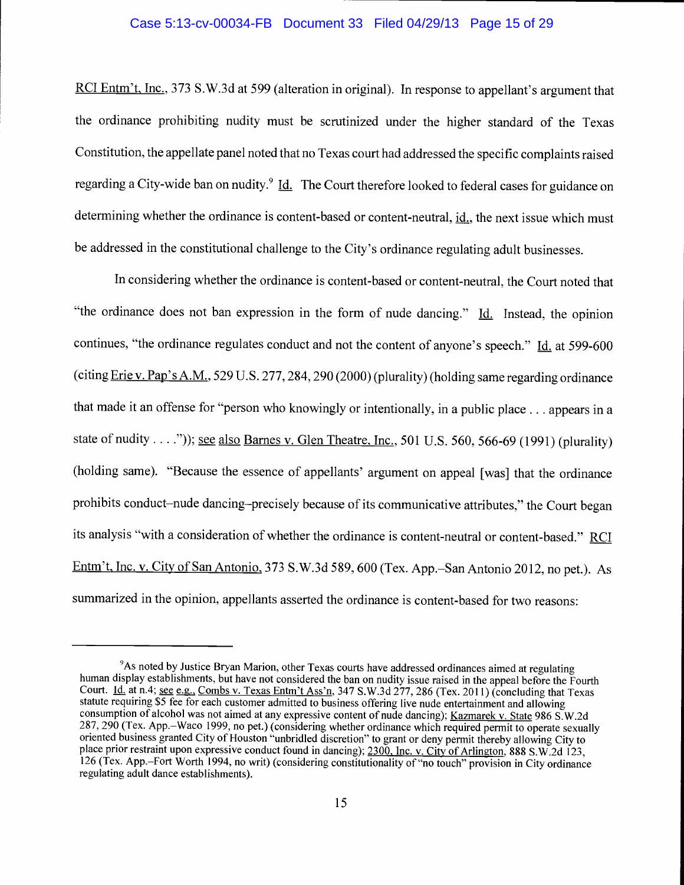## Case 5:13-cv-00034-FB Document 33 Filed 04/29/13 Page 15 of 29

RCI Entm't, Inc., 373 S.W.3d at 599 (alteration in original). In response to appellant's argument that the ordinance prohibiting nudity must be scrutinized under the higher standard of the Texas Constitution, the appellate panel noted that no Texas court had addressed the specific complaints raised regarding a City-wide ban on nudity.<sup>9</sup> Id. The Court therefore looked to federal cases for guidance on determining whether the ordinance is content-based or content-neutral,  $id$ , the next issue which must be addressed in the constitutional challenge to the City's ordinance regulating adult businesses.

In considering whether the ordinance is content-based or content-neutral, the Court noted that "the ordinance does not ban expression in the form of nude dancing."  $Id.$  Instead, the opinion continues, "the ordinance regulates conduct and not the content of anyone's speech." Id. at 599-600 (citing  $Eric v. Pap's A.M., 529 U.S. 277, 284, 290 (2000) (plurality) (holding same regarding ordinance)$ </u> that made it an offense for "person who knowingly or intentionally, in a public place. . . appears in a state of nudity....")); <u>see also Barnes v. Glen Theatre. Inc.</u>, 501 U.S. 560, 566-69 (1991) (plurality) (holding same). "Because the essence of appellants' argument on appeal [was] that the ordinance prohibits conduct-nude dancing-precisely because of its communicative attributes," the Court began its analysis "with a consideration of whether the ordinance is content-neutral or content-based." RCI Entm't, Inc. v. City of San Antonio, 373 S.W.3d 589, 600 (Tex. App.–San Antonio 2012, no pet.). As summarized in the opinion, appellants asserted the ordinance is content-based for two reasons:

<sup>&</sup>lt;sup>9</sup>As noted by Justice Bryan Marion, other Texas courts have addressed ordinances aimed at regulating human display establishments, but have not considered the ban on nudity issue raised in the appeal before the Fourth Court. *Id.* at n.4; <u>see e.g., Combs v. Texas Entm't Ass'n</u>, 347 S.W.3d 277, 286 (Tex. 2011) (concluding that Texas statute requiring \$5 fee for each customer admitted to business offering live nude entertainment and allo consumption of alcohol was not aimed at any expressive content of nude dancing); Kazmarek v. State 986 S.W.2d 287, 290 (Tex. App.–Waco 1999, no pet.) (considering whether ordinance which required permit to operate sexually oriented business granted City of Houston "unbridled discretion" to grant or deny permit thereby allowing City to place prior restraint upon expressive conduct found in dancing); 2300, Inc. v. City of Arlington, 888 S.W.2d 123, 126 (Tex. App.–Fort Worth 1994, no writ) (considering constitutionality of "no touch" provision in City ordinance regulating adult dance establishments).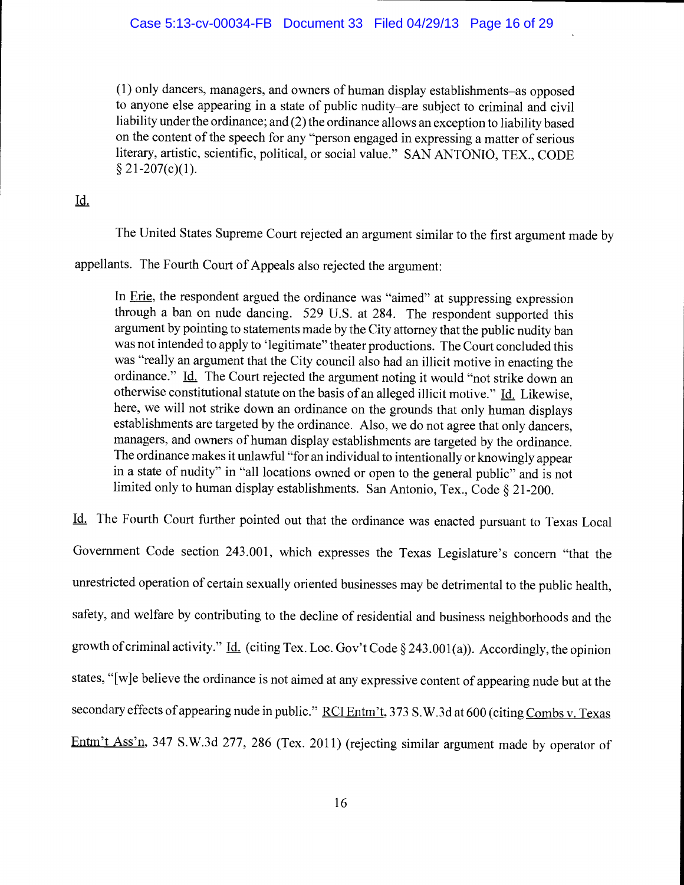$(1)$  only dancers, managers, and owners of human display establishments—as opposed to anyone else appearing in a state of public nudity–are subject to criminal and civil liability under the ordinance; and (2) the ordinance allows an exception to liability based on the content of the speech for any "person engaged in expressing a matter of serious literary, artistic, scientific, political, or social value." SAN ANTONIO, TEX., CODE  $§$  21-207(c)(1).

# Id.

The United States Supreme Court rejected an argument similar to the first argument made by

appellants. The Fourth Court of Appeals also rejected the argument:

In Erie, the respondent argued the ordinance was "aimed" at suppressing expression through a ban on nude dancing. 529 U.S. at 284. The respondent supported this argument by pointing to statements made by the City attorney that the public nudity ban was not intended to apply to 'legitimate" theater productions. The Court concluded this was "really an argument that the City council also had an illicit motive in enacting the ordinance." Id. The Court rejected the argument noting it would "not strike down an otherwise constitutional statute on the basis of an alleged illicit motive."  $\underline{Id}$ . Likewise, here, we will not strike down an ordinance on the grounds that only human displays establishments are targeted by the ordinance. Also, we do not agree that only dancers, managers, and owners of human display establishments are targeted by the ordinance. The ordinance makes it unlawful "for an individual to intentionally or knowingly appear in a state of nudity" in "all locations owned or open to the general public" and is not limited only to human display establishments. San Antonio, Tex., Code § 21-200.

Id. The Fourth Court further pointed out that the ordinance was enacted pursuant to Texas Local Government Code section 243.001, which expresses the Texas Legislature's concern "that the unrestricted operation of certain sexually oriented businesses may be detrimental to the public health, safety, and welfare by contributing to the decline of residential and business neighborhoods and the growth of criminal activity." Id. (citing Tex. Loc. Gov't Code  $\S 243.001(a)$ ). Accordingly, the opinion states, "[w]e believe the ordinance is not aimed at any expressive content of appearing nude but at the secondary effects of appearing nude in public." RCI Entm't, 373 S.W.3d at 600 (citing Combs v. Texas Entm't Ass'n, 347 S.W.3d 277, 286 (Tex. 2011) (rejecting similar argument made by operator of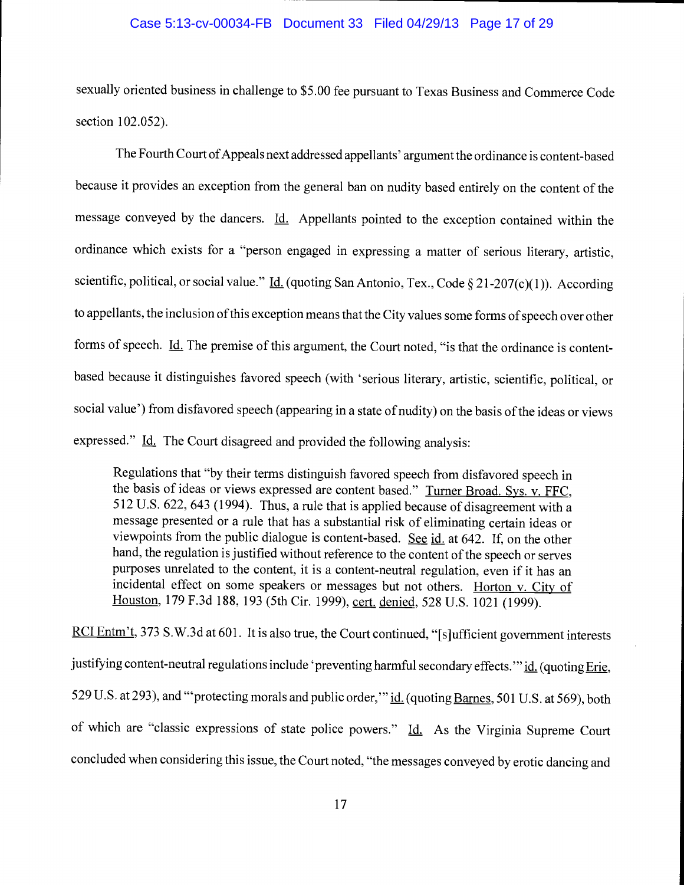# Case 5:13-cv-00034-FB Document 33 Filed 04/29/13 Page 17 of 29

sexually oriented business in challenge to \$5.00 fee pursuant to Texas Business and Commerce Code section 102.052).

The Fourth Court of Appeals next addressed appellants' argument the ordinance is content-based because it provides an exception from the general ban on nudity based entirely on the content of the message conveyed by the dancers. Id. Appellants pointed to the exception contained within the ordinance which exists for a "person engaged in expressing a matter of serious literary, artistic, scientific, political, or social value." *Id.* (quoting San Antonio, Tex., Code § 21-207(c)(1)). According to appellants, the inclusion of this exception means that the City values some forms of speech over other forms of speech. Id. The premise of this argument, the Court noted, "is that the ordinance is contentbased because it distinguishes favored speech (with 'serious literary, artistic, scientific, political, or social value') from disfavored speech (appearing in a state of nudity) on the basis of the ideas or views expressed."  $\underline{Id}$ . The Court disagreed and provided the following analysis:

Regulations that "by their terms distinguish favored speech from disfavored speech in the basis of ideas or views expressed are content based." Turner Broad. Sys. v. FFC, 512 U.S. 622, 643 (1994). Thus, a rule that is applied because of disagreement with a message presented or a rule that has a substantial risk of eliminating certain ideas or viewpoints from the public dialogue is content-based. See  $id$  at 642. If, on the other hand, the regulation is justified without reference to the content of the speech or serves purposes unrelated to the content, it is a content-neutral regulation, even if it has an incidental effect on some speakers or messages but not others. Horton v. City of Houston, 179 F.3d 188, 193 (5th Cir. 1999), cert. denied, 528 U.S. 1021 (1999).

RCI Entm't, 373 S.W.3d at 601. It is also true, the Court continued, "[s]ufficient government interests justifying content-neutral regulations include 'preventing harmful secondary effects." id. (quoting Erie, 529 U.S. at 293), and "'protecting morals and public order," id. (quoting Barnes, 501 U.S. at 569), both of which are "classic expressions of state police powers." Id. As the Virginia Supreme Court concluded when considering this issue, the Court noted, "the messages conveyed by erotic dancing and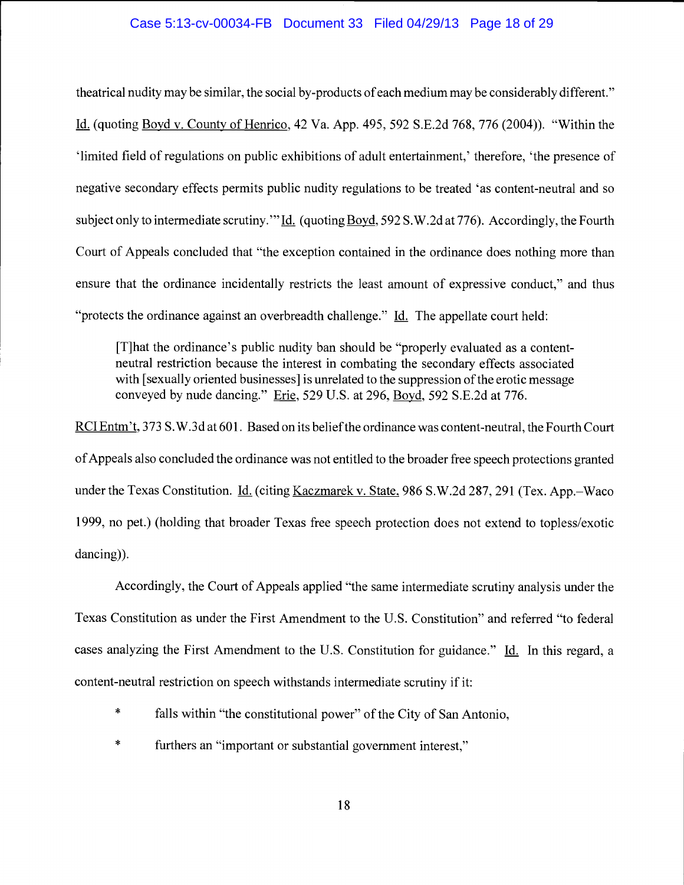# Case 5:13-cv-00034-FB Document 33 Filed 04/29/13 Page 18 of 29

theatrical nudity may be similar, the social by-products of each medium may be considerably different." Id. (quoting Boyd v. County of Henrico, 42 Va. App. 495, 592 S.E.2d 768, 776 (2004)). "Within the 'limited field of regulations on public exhibitions of adult entertainment,' therefore, 'the presence of negative secondary effects permits public nudity regulations to be treated 'as content-neutral and so subject only to intermediate scrutiny." Id. (quoting Boyd, 592 S.W.2d at 776). Accordingly, the Fourth Court of Appeals concluded that "the exception contained in the ordinance does nothing more than ensure that the ordinance incidentally restricts the least amount of expressive conduct," and thus "protects the ordinance against an overbreadth challenge."  $Id.$  The appellate court held:

[T]hat the ordinance's public nudity ban should be "properly evaluated as a contentneutral restriction because the interest in combating the secondary effects associated with [sexually oriented businesses] is unrelated to the suppression of the erotic message conveyed by nude dancing." Erie, 529 U.S. at 296, Boyd, 592 S.E.2d at 776.

RCI Entm't, 373 S.W.3d at 601. Based on its belief the ordinance was content-neutral, the Fourth Court of Appeals also concluded the ordinance was not entitled to the broader free speech protections granted under the Texas Constitution.  $\underline{Id}$ . (citing Kaczmarek v. State, 986 S.W.2d 287, 291 (Tex. App.-Waco 1999, no pet.) (holding that broader Texas free speech protection does not extend to topless/exotic dancing)).

Accordingly, the Court of Appeals applied "the same intermediate scrutiny analysis under the Texas Constitution as under the First Amendment to the U.S. Constitution" and referred "to federal cases analyzing the First Amendment to the U.S. Constitution for guidance." Id. In this regard, a content-neutral restriction on speech withstands intermediate scrutiny if it:

- $\ast$ falls within "the constitutional power" of the City of San Antonio,
- $\ast$ furthers an "important or substantial government interest,"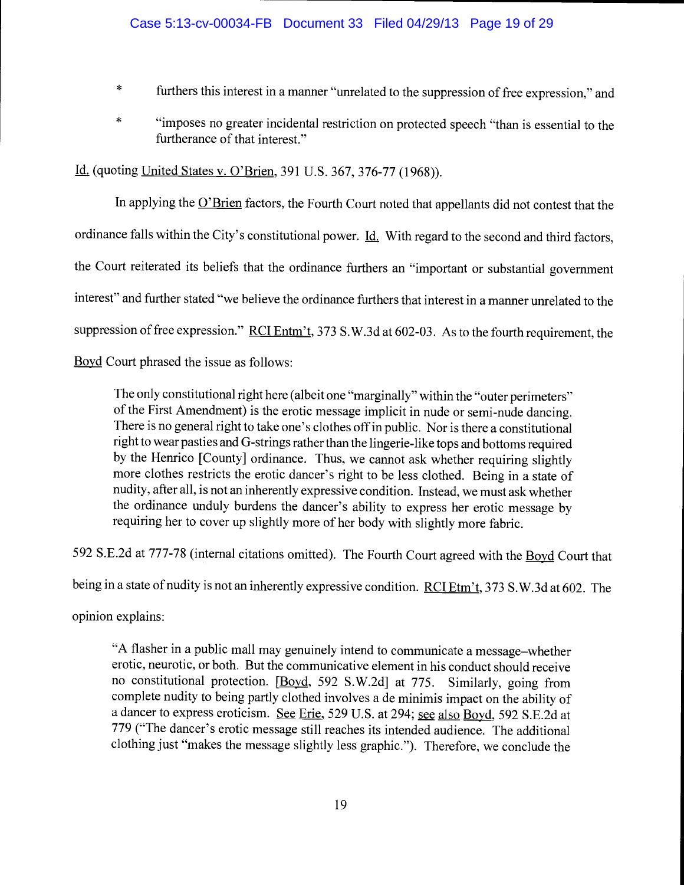- $\ast$ furthers this interest in a manner "unrelated to the suppression of free expression," and
- $\ast$ "imposes no greater incidental restriction on protected speech "than is essential to the furtherance of that interest."

Id. (quoting United States v. O'Brien, 391 U.S. 367, 376-77 (1968)).

In applying the  $O<sup>2</sup>B$ rien factors, the Fourth Court noted that appellants did not contest that the ordinance falls within the City's constitutional power.  $\underline{Id}$ . With regard to the second and third factors, the Court reiterated its beliefs that the ordinance furthers an "important or substantial government interest" and further stated "we believe the ordinance furthers that interest in a manner unrelated to the suppression of free expression." RCI Entm't, 373 S.W.3d at 602-03. As to the fourth requirement, the Boyd Court phrased the issue as follows:

The only constitutional right here (albeit one "marginally" within the "outer perimeters" of the First Amendment) is the erotic message implicit in nude or semi-nude dancing. There is no general right to take one's clothes off in public. Nor is there a constitutional right to wear pasties and G-strings rather than the lingerie-like tops and bottoms required by the Henrico [County] ordinance. Thus, we cannot ask whether requiring slightly more clothes restricts the erotic dancer's right to be less clothed. Being in a state of nudity, after all, is not an inherently expressive condition. Instead, we must ask whether the ordinance unduly burdens the dancer's ability to express her erotic message by requiring her to cover up slightly more of her body with slightly more fabric.

592 S.E.2d at 777-78 (internal citations omitted). The Fourth Court agreed with the Boyd Court that

being in a state of nudity is not an inherently expressive condition. RCI Etm't, 373 S.W.3d at 602. The

opinion explains:

"A flasher in a public mall may genuinely intend to communicate a message-whether erotic, neurotic, or both. But the communicative element in his conduct should receive no constitutional protection. [Boyd, 592 S.W.2d] at 775. Similarly, going from complete nudity to being partly clothed involves a de minimis impact on the ability of a dancer to express eroticism. See Erie, 529 U.S. at 294; see also Boyd, 592 S.E.2d at 779 ("The dancer's erotic message still reaches its intended audience. The additional clothing just "makes the message slightly less graphic."). Therefore, we conclude the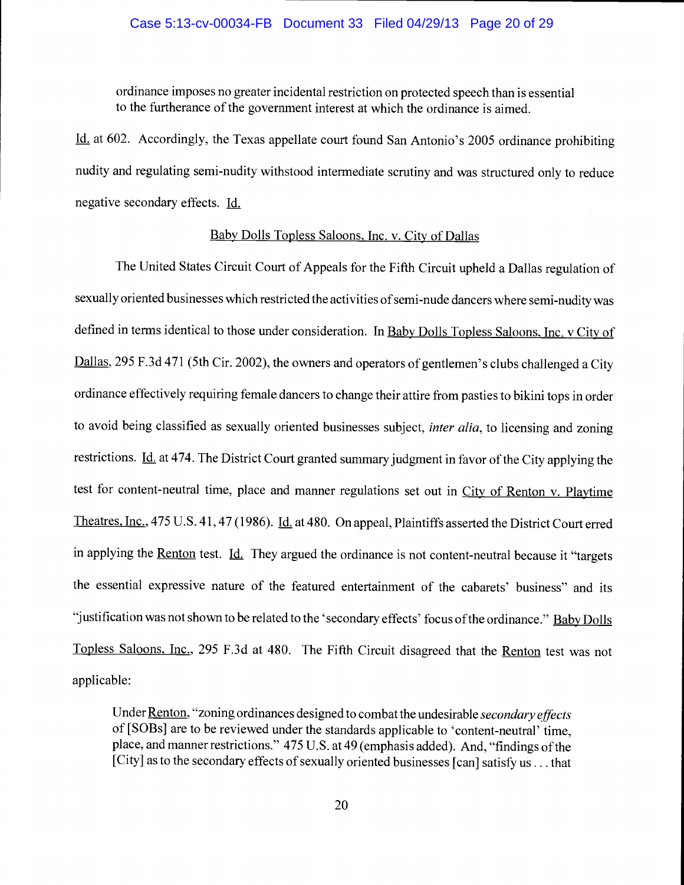## Case 5:13-cv-00034-FB Document 33 Filed 04/29/13 Page 20 of 29

ordinance imposes no greater incidental restriction on protected speech than is essential to the furtherance of the government interest at which the ordinance is aimed.

Id. at 602. Accordingly, the Texas appellate court found San Antonio's 2005 ordinance prohibiting nudity and regulating semi-nudity withstood intermediate scrutiny and was structured only to reduce negative secondary effects. Id.

# Baby Dolls Topless Saloons, Inc. v. City of Dallas

The United States Circuit Court of Appeals for the Fifth Circuit upheld a Dallas regulation of sexually oriented businesses which restricted the activities of semi-nude dancers where semi-nudity was defined in terms identical to those under consideration. In Baby Dolls Topless Saloons, Inc. v City of Dallas, 295 F.3d 471 (5th Cir. 2002), the owners and operators of gentlemen's clubs challenged a City ordinance effectively requiring female dancers to change their attire from pasties to bikini tops in order to avoid being classified as sexually oriented businesses subject, *inter alia*, to licensing and zoning restrictions. Id. at 474. The District Court granted summary judgment in favor of the City applying the test for content-neutral time, place and manner regulations set out in City of Renton v. Playtime Theatres, Inc., 475 U.S. 41, 47 (1986). Id. at 480. On appeal, Plaintiffs asserted the District Court erred in applying the <u>Renton</u> test. Id. They argued the ordinance is not content-neutral because it "targets" the essential expressive nature of the featured entertainment of the cabarets' business" and its "justification was not shown to be related to the 'secondary effects' focus of the ordinance." Baby Dolls Topless Saloons. Inc., 295 F.3d at 480. The Fifth Circuit disagreed that the Renton test was not applicable:

Under Renton, "zoning ordinances designed to combat the undesirable secondary effects of [SOBs] are to be reviewed under the standards applicable to 'content-neutral' time, place, and manner restrictions." 475 U.S. at 49 (emphasis added). And, "findings of the [City] as to the secondary effects of sexually oriented businesses [can] satisfy us... that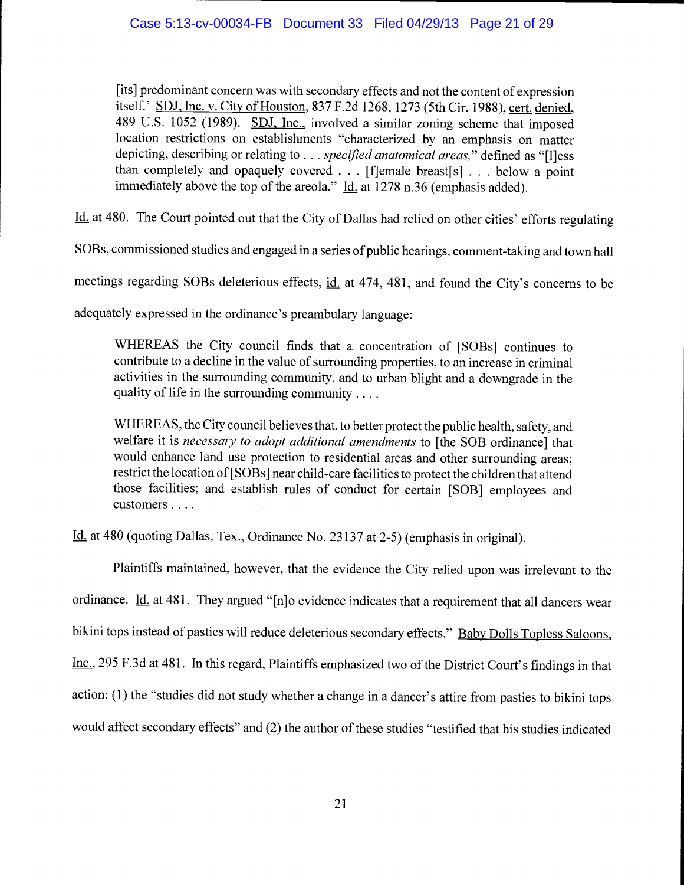[its] predominant concern was with secondary effects and not the content of expression itself.' SDJ, Inc. v. City of Houston, 837 F.2d 1268, 1273 (5th Cir. 1988), cert. denied, 489 U.S. 1052 (1989). SDJ, Inc., involved a similar zoning scheme that imposed location restrictions on establishments "characterized by an emphasis on matter depicting, describing or relating to . . . specified anatomical areas," defined as "[l]ess than completely and opaquely covered . . . [f]emale breast[s] . . . below a point immediately above the top of the areola."  $\underline{Id}$  at 1278 n.36 (emphasis added).

Id. at 480. The Court pointed out that the City of Dallas had relied on other cities' efforts regulating

SOBs, commissioned studies and engaged in a series of public hearings, comment-taking and town hall

meetings regarding SOBs deleterious effects, id. at 474, 481, and found the City's concerns to be

adequately expressed in the ordinance's preambulary language:

WHEREAS the City council finds that a concentration of [SOBs] continues to contribute to a decline in the value of surrounding properties, to an increase in criminal activities in the surrounding community, and to urban blight and a downgrade in the quality of life in the surrounding community....

WHEREAS, the City council believes that, to better protect the public health, safety, and welfare it is necessary to adopt additional amendments to [the SOB ordinance] that would enhance land use protection to residential areas and other surrounding areas; restrict the location of [SOBs] near child-care facilities to protect the children that attend those facilities; and establish rules of conduct for certain [SOB] employees and customers . . . .

Id. at 480 (quoting Dallas, Tex., Ordinance No. 23137 at 2-5) (emphasis in original).

Plaintiffs maintained, however, that the evidence the City relied upon was irrelevant to the ordinance. Id. at 481. They argued "[n]o evidence indicates that a requirement that all dancers wear bikini tops instead of pasties will reduce deleterious secondary effects." Baby Dolls Topless Saloons, Inc., 295 F.3d at 481. In this regard, Plaintiffs emphasized two of the District Court's findings in that action: (1) the "studies did not study whether a change in a dancer's attire from pasties to bikini tops would affect secondary effects" and (2) the author of these studies "testified that his studies indicated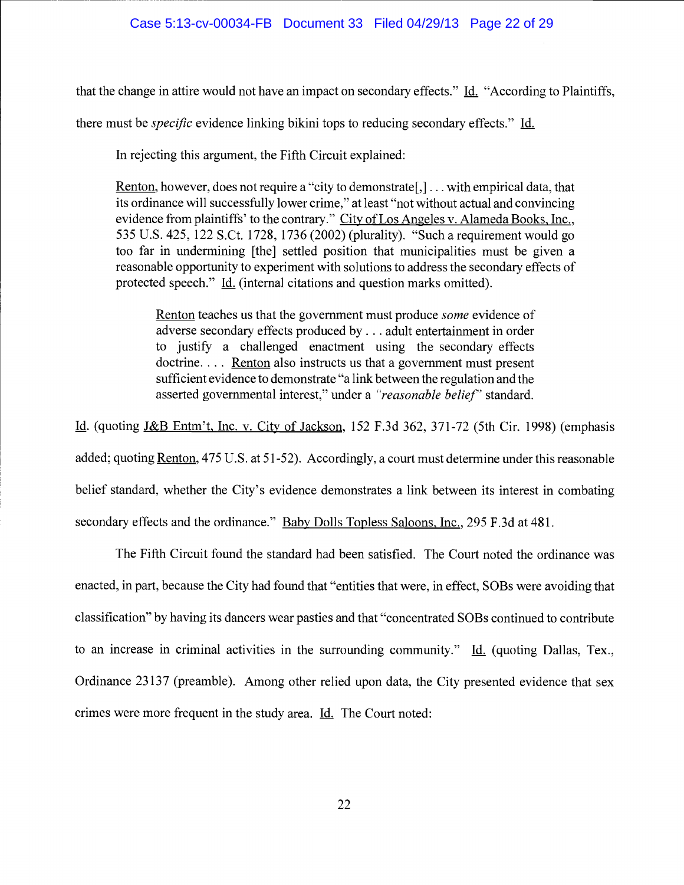that the change in attire would not have an impact on secondary effects." Id. "According to Plaintiffs,

there must be *specific* evidence linking bikini tops to reducing secondary effects." Id.

In rejecting this argument, the Fifth Circuit explained:

Renton, however, does not require a "city to demonstrate[,] . . . with empirical data, that its ordinance will successfully lower crime," at least "not without actual and convincing evidence from plaintiffs' to the contrary." City of Los Angeles v. Alameda Books, Inc., 535 U.S. 425, 122 S.Ct. 1728, 1736 (2002) (plurality). "Such a requirement would go too far in undermining [the] settled position that municipalities must be given a reasonable opportunity to experiment with solutions to address the secondary effects of protected speech." Id. (internal citations and question marks omitted).

Renton teaches us that the government must produce some evidence of adverse secondary effects produced by. . . adult entertainment in order to justify a challenged enactment using the secondary effects doctrine.... <u>Renton</u> also instructs us that a government must present sufficient evidence to demonstrate "a link between the regulation and the asserted governmental interest," under a "reasonable belief" standard.

Id. (quoting J&B Entm't, Inc. v. City of Jackson, 152 F.3d 362, 371-72 (5th Cir. 1998) (emphasis added; quoting Renton, 475 U.S. at 51-52). Accordingly, a court must determine under this reasonable belief standard, whether the City's evidence demonstrates a link between its interest in combating secondary effects and the ordinance." Baby Dolls Topless Saloons, Inc., 295 F.3d at 481.

The Fifth Circuit found the standard had been satisfied. The Court noted the ordinance was enacted, in part, because the City had found that "entities that were, in effect, SOBs were avoiding that classification" by having its dancers wear pasties and that "concentrated SOBs continued to contribute to an increase in criminal activities in the surrounding community."  $Id.$  (quoting Dallas, Tex., Ordinance 23137 (preamble). Among other relied upon data, the City presented evidence that sex crimes were more frequent in the study area. <u>Id.</u> The Court noted: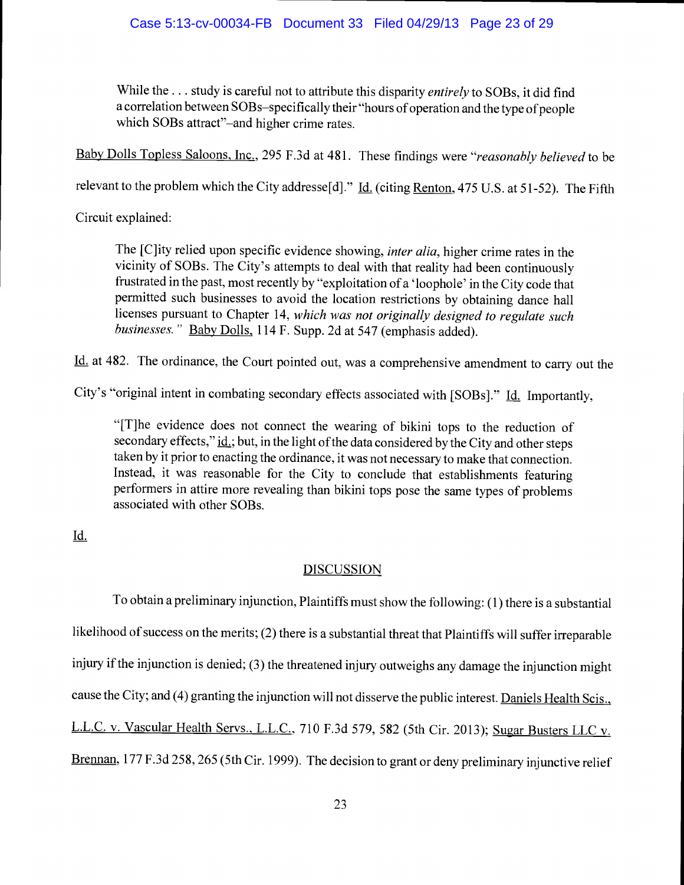# Case 5:13-cv-00034-FB Document 33 Filed 04/29/13 Page 23 of 29

While the ... study is careful not to attribute this disparity *entirely* to SOBs, it did find a correlation between SOBs–specifically their "hours of operation and the type of people which SOBs attract"-and higher crime rates.

Baby Dolls Topless Saloons, Inc., 295 F.3d at 481. These findings were "reasonably believed to be

relevant to the problem which the City addresse[d]." *Id.* (citing Renton, 475 U.S. at 51-52). The Fifth

Circuit explained:

The [C]ity relied upon specific evidence showing, inter alia, higher crime rates in the vicinity of SOBs. The City's attempts to deal with that reality had been continuously frustrated in the past, most recently by "exploitation of a 'loophole' in the City code that permitted such businesses to avoid the location restrictions by obtaining dance hail licenses pursuant to Chapter 14, which was not originally designed to regulate such businesses." Baby Dolls, 114 F. Supp. 2d at 547 (emphasis added).

Id. at 482. The ordinance, the Court pointed out, was a comprehensive amendment to carry out the

City's "original intent in combating secondary effects associated with [SOBs]." Id. Importantly,

"[T]he evidence does not connect the wearing of bikini tops to the reduction of secondary effects,"  $\underline{\text{id}}$ ; but, in the light of the data considered by the City and other steps taken by it prior to enacting the ordinance, it was not necessary to make that connection. Instead, it was reasonable for the City to conclude that establishments featuring performers in attire more revealing than bikini tops pose the same types of problems associated with other SOBs.

Id.

# **DISCUSSION**

To obtain a preliminary injunction, Plaintiffs must show the following: (1) there is a substantial likelihood of success on the merits; (2) there is a substantial threat that Plaintiffs will suffer irreparable injury if the injunction is denied; (3) the threatened injury outweighs any damage the injunction might cause the City; and (4) granting the injunction will not disserve the public interest. Daniels Health Scis., L.L.C. v. Vascular Health Servs., L.L.C., 710 F.3d 579, 582 (5th Cir. 2013); Sugar Busters LLC v. Brennan, 177 F.3d 258, 265 (5th Cir. 1999). The decision to grant or deny preliminary injunctive relief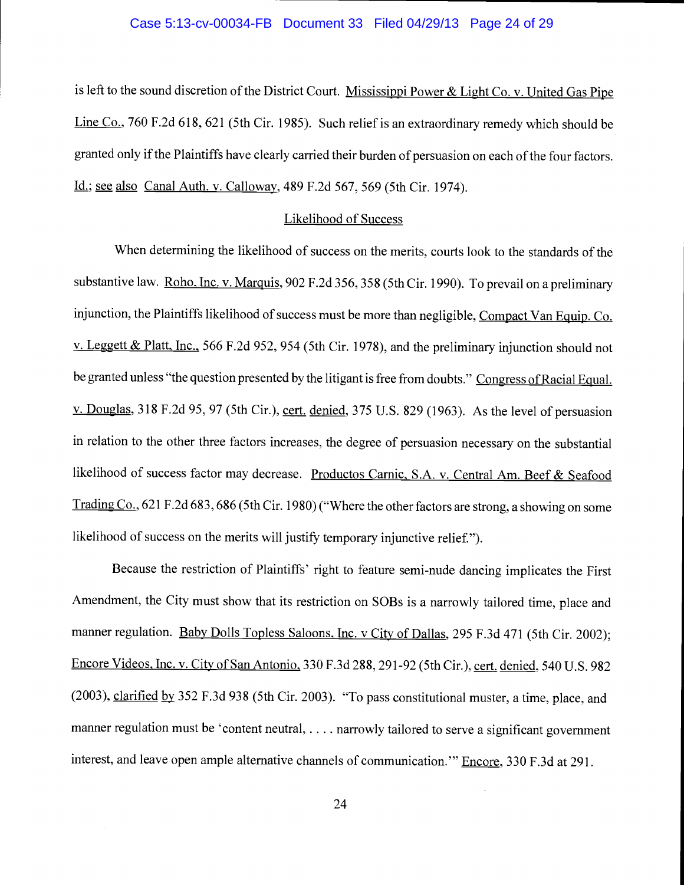#### Case 5:13-cv-00034-FB Document 33 Filed 04/29/13 Page 24 of 29

is left to the sound discretion of the District Court. Mississippi Power & Light Co. v. United Gas Pipe Line Co., 760 F.2d 618, 621 (5th Cir. 1985). Such relief is an extraordinary remedy which should be granted only if the Plaintiffs have clearly carried their burden of persuasion on each of the four factors. <u>Id.; see also Canal Auth. v. Calloway,</u> 489 F.2d 567, 569 (5th Cir. 1974).

#### Likelihood of Success

When determining the likelihood of success on the merits, courts look to the standards of the substantive law. Roho, Inc. v. Marquis, 902 F.2d 356, 358 (5th Cir. 1990). To prevail on a preliminary injunction, the Plaintiffs likelihood of success must be more than negligible, Compact Van Equip. Co. v. Leggett & Platt, Inc., 566 F.2d 952, 954 (5th Cir. 1978), and the preliminary injunction should not be granted unless "the question presented by the litigant is free from doubts." Congress of Racial Equal. v. Douglas, 318 F.2d 95, 97 (5th Cir.), cert. denied, 375 U.S. 829 (1963). As the level of persuasion in relation to the other three factors increases, the degree of persuasion necessary on the substantial likelihood of success factor may decrease. Productos Carnic, S.A. v. Central Am. Beef & Seafood Trading Co., 621 F.2d 683, 686 (5th Cir. 1980) ("Where the other factors are strong, a showing on some likelihood of success on the merits will justify temporary injunctive relief.").

Because the restriction of Plaintiffs' right to feature semi-nude dancing implicates the First Amendment, the City must show that its restriction on SOBs is a narrowly tailored time, place and manner regulation. Baby Dolls Topless Saloons, Inc. v City of Dallas, 295 F.3d 471 (5th Cir. 2002); Encore Videos, Inc. v. City of San Antonio, 330 F.3d 288, 291-92 (5th Cir.), cert. denied, 540 U.S. 982 (2003), clarified by 352 F.3d 938 (5th Cir. 2003). "To pass constitutional muster, a time, place, and manner regulation must be 'content neutral, .... narrowly tailored to serve a significant government interest, and leave open ample alternative channels of communication." Encore, 330 F.3d at 291.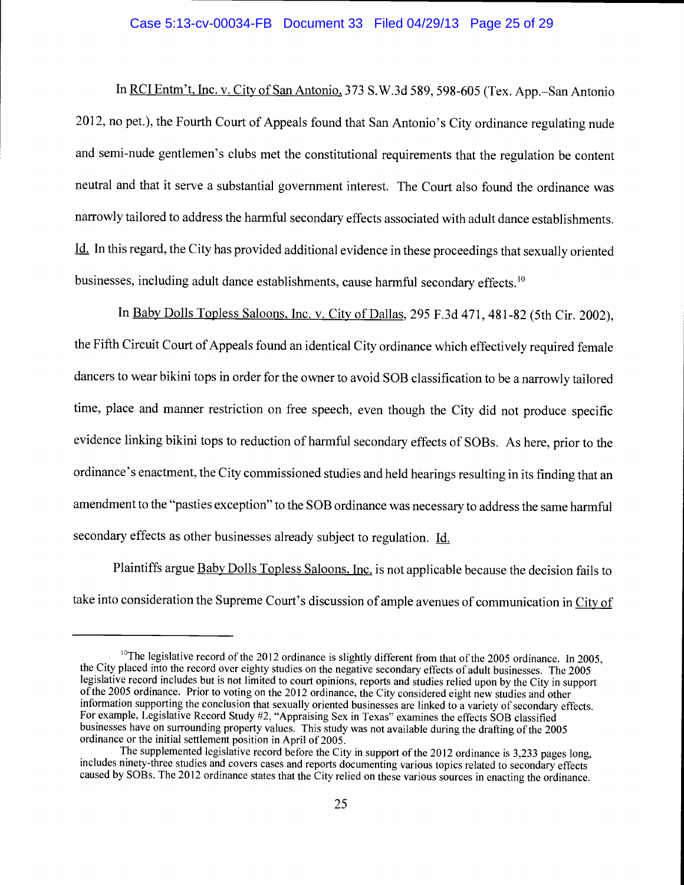## Case 5:13-cv-00034-FB Document 33 Filed 04/29/13 Page 25 of 29

In RCI Entm't, Inc. v. City of San Antonio, 373 S.W.3d 589, 598-605 (Tex. App.–San Antonio 2012, no pet.), the Fourth Court of Appeals found that San Antonio's City ordinance regulating nude and semi-nude gentlemen's clubs met the constitutional requirements that the regulation be content neutral and that it serve a substantial government interest. The Court also found the ordinance was narrowly tailored to address the harmful secondary effects associated with adult dance establishments. Id. In this regard, the City has provided additional evidence in these proceedings that sexually oriented businesses, including adult dance establishments, cause harmful secondary effects.<sup>10</sup>

In Baby Dolls Topless Saloons, Inc. v. City of Dallas, 295 F.3d 471, 48 1-82 (5th Cir. 2002), the Fifth Circuit Court of Appeals found an identical City ordinance which effectively required female dancers to wear bikini tops in order for the owner to avoid SOB classification to be a narrowly tailored time, place and manner restriction on free speech, even though the City did not produce specific evidence linking bikini tops to reduction of harmful secondary effects of SOBs. As here, prior to the ordinance's enactment, the City commissioned studies and held hearings resulting in its finding that an amendment to the "pasties exception" to the SOB ordinance was necessary to address the same harmful secondary effects as other businesses already subject to regulation. Id.

Plaintiffs argue Baby Dolls Topless Saloons, Inc. is not applicable because the decision fails to take into consideration the Supreme Court's discussion of ample avenues of communication in City of

<sup>&</sup>lt;sup>10</sup>The legislative record of the 2012 ordinance is slightly different from that of the 2005 ordinance. In 2005, the City placed into the record over eighty studies on the negative secondary effects of adult businesses. T of the 2005 ordinance. Prior to voting on the 2012 ordinance, the City considered eight new studies and other information supporting the conclusion that sexually oriented businesses are linked to a variety of secondary effects. For example, Legislative Record Study #2, "Appraising Sex in Texas" examines the effects SOB classified businesses have on surrounding property values. This study was not available during the drafting of the 2005 ordinance or the initial settlement position in April of 2005.<br>The supplemented legislative record before the City in support of the 2012 ordinance is 3,233 pages long,

includes ninety-three studies and covers cases and reports documenting various topics related to secondary effects caused by SOBs. The 2012 ordinance states that the City relied on these various sources in enacting the ordinance.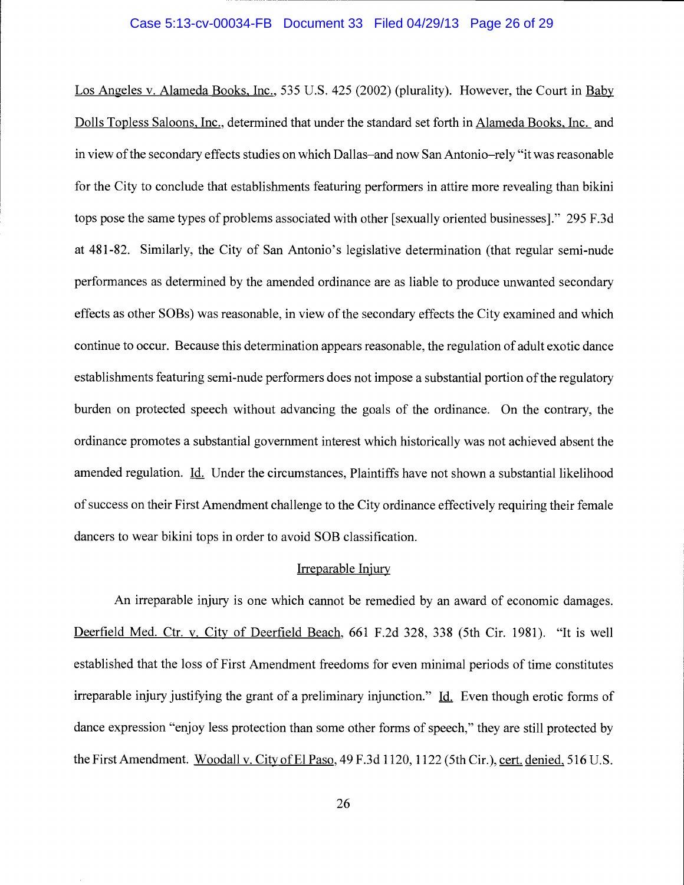#### Case 5:13-cv-00034-FB Document 33 Filed 04/29/13 Page 26 of 29

Los Angeles v. Alameda Books. Inc., 535 U.S. 425 (2002) (plurality). However, the Court in Baby Dolls Topless Saloons, Inc., determined that under the standard set forth in Alameda Books, Inc. and in view of the secondary effects studies on which Dallas-and now San Antonio-rely "it was reasonable for the City to conclude that establishments featuring performers in attire more revealing than bikini tops pose the same types of problems associated with other [sexually oriented businesses]." 295 F.3d at 481-82. Similarly, the City of San Antonio's legislative determination (that regular semi-nude performances as determined by the amended ordinance are as liable to produce unwanted secondary effects as other SOBs) was reasonable, in view of the secondary effects the City examined and which continue to occur. Because this determination appears reasonable, the regulation of adult exotic dance establishments featuring semi-nude performers does not impose a substantial portion of the regulatory burden on protected speech without advancing the goals of the ordinance. On the contrary, the ordinance promotes a substantial government interest which historically was not achieved absent the amended regulation. Id. Under the circumstances, Plaintiffs have not shown a substantial likelihood of success on their First Amendment challenge to the City ordinance effectively requiring their female dancers to wear bikini tops in order to avoid SOB classification.

# Irreparable Injury

An irreparable injury is one which cannot be remedied by an award of economic damages. Deerfield Med. Ctr. v. City of Deerfield Beach, 661 F.2d 328, 338 (5th Cir. 1981). "It is well established that the loss of First Amendment freedoms for even minimal periods of time constitutes irreparable injury justifying the grant of a preliminary injunction." Id. Even though erotic forms of dance expression "enjoy less protection than some other forms of speech," they are still protected by the First Amendment. Woodall v. City of El Paso, 49 F.3d 1120, 1122 (5th Cir.), cert. denied, 516 U.S.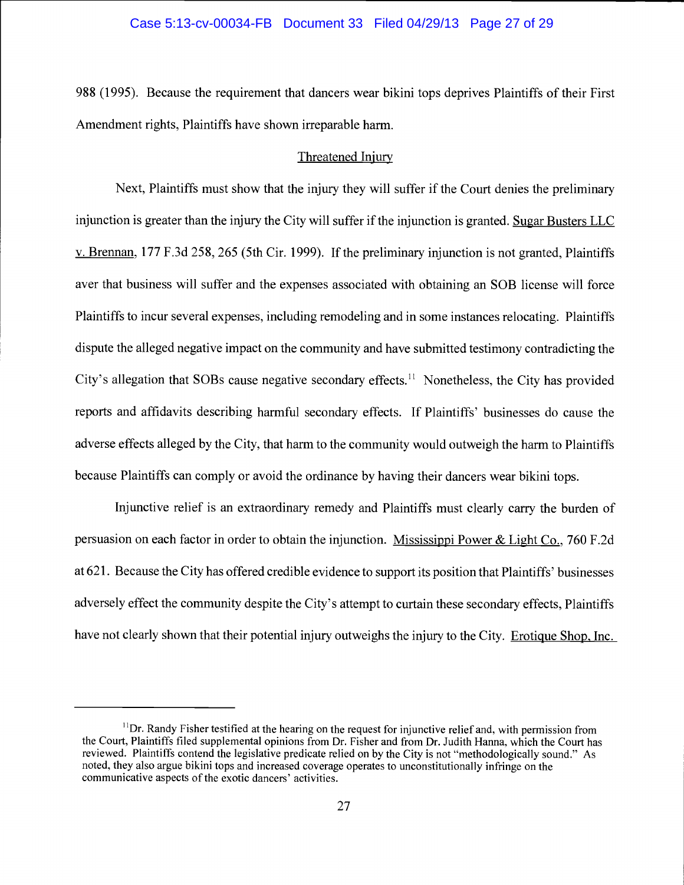#### Case 5:13-cv-00034-FB Document 33 Filed 04/29/13 Page 27 of 29

988 (1995). Because the requirement that dancers wear bikini tops deprives Plaintiffs of their First Amendment rights, Plaintiffs have shown irreparable harm.

## Threatened Injury

Next, Plaintiffs must show that the injury they will suffer if the Court denies the preliminary injunction is greater than the injury the City will suffer if the injunction is granted. Sugar Busters LLC v. Brennan, 177 F.3d 258, 265 (5th Cir. 1999). If the preliminary injunction is not granted, Plaintiffs aver that business will suffer and the expenses associated with obtaining an SOB license will force Plaintiffs to incur several expenses, including remodeling and in some instances relocating. Plaintiffs dispute the alleged negative impact on the community and have submitted testimony contradicting the City's allegation that SOBs cause negative secondary effects.<sup>11</sup> Nonetheless, the City has provided reports and affidavits describing harmful secondary effects. If Plaintiffs' businesses do cause the adverse effects alleged by the City, that harm to the community would outweigh the harm to Plaintiffs because Plaintiffs can comply or avoid the ordinance by having their dancers wear bikini tops.

Injunctive relief is an extraordinary remedy and Plaintiffs must clearly cany the burden of persuasion on each factor in order to obtain the injunction. Mississippi Power & Light Co., 760 F.2d at 621. Because the City has offered credible evidence to support its position that Plaintiffs' businesses adversely effect the community despite the City's attempt to curtain these secondary effects, Plaintiffs have not clearly shown that their potential injury outweighs the injury to the City. Erotique Shop. Inc.

 $<sup>11</sup>$ Dr. Randy Fisher testified at the hearing on the request for injunctive relief and, with permission from</sup> the Court, Plaintiffs filed supplemental opinions from Dr. Fisher and from Dr. Judith Hanna, which the Court has reviewed. Plaintiffs contend the legislative predicate relied on by the City is not "methodologically sound." As noted, they also argue bikini tops and increased coverage operates to unconstitutionally infringe on the communicative aspects of the exotic dancers' activities.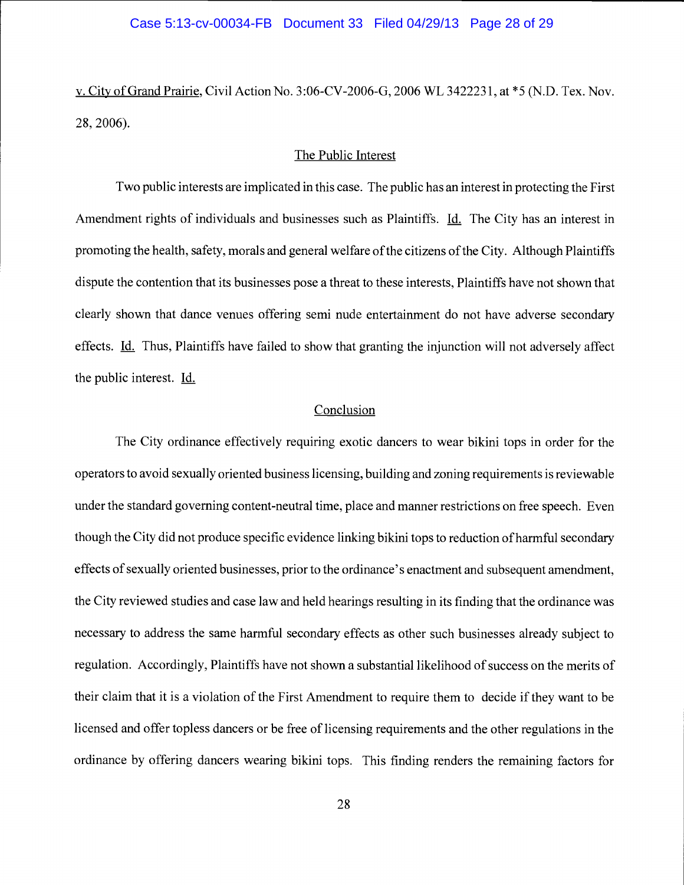#### Case 5:13-cv-00034-FB Document 33 Filed 04/29/13 Page 28 of 29

v. City of Grand Prairie, Civil Action No. 3:06-CV-2006-G, 2006 WL 3422231, at \*5 (N.D. Tex. Nov. 28, 2006).

#### The Public Interest

Two public interests are implicated in this case. The public has an interest in protecting the First Amendment rights of individuals and businesses such as Plaintiffs. Id. The City has an interest in promoting the health, safety, morals and general welfare of the citizens of the City. Although Plaintiffs dispute the contention that its businesses pose a threat to these interests, Plaintiffs have not shown that clearly shown that dance venues offering semi nude entertainment do not have adverse secondary effects. Id. Thus, Plaintiffs have failed to show that granting the injunction will not adversely affect the public interest. Id.

## **Conclusion**

The City ordinance effectively requiring exotic dancers to wear bikini tops in order for the operators to avoid sexually oriented business licensing, building and zoning requirements is reviewable under the standard governing content-neutral time, place and manner restrictions on free speech. Even though the City did not produce specific evidence linking bikini tops to reduction of harmful secondary effects of sexually oriented businesses, prior to the ordinance's enactment and subsequent amendment, the City reviewed studies and case law and held hearings resulting in its finding that the ordinance was necessary to address the same harmful secondary effects as other such businesses already subject to regulation. Accordingly, Plaintiffs have not shown a substantial likelihood of success on the merits of their claim that it is a violation of the First Amendment to require them to decide if they want to be licensed and offer topless dancers or be free of licensing requirements and the other regulations in the ordinance by offering dancers wearing bikini tops. This finding renders the remaining factors for